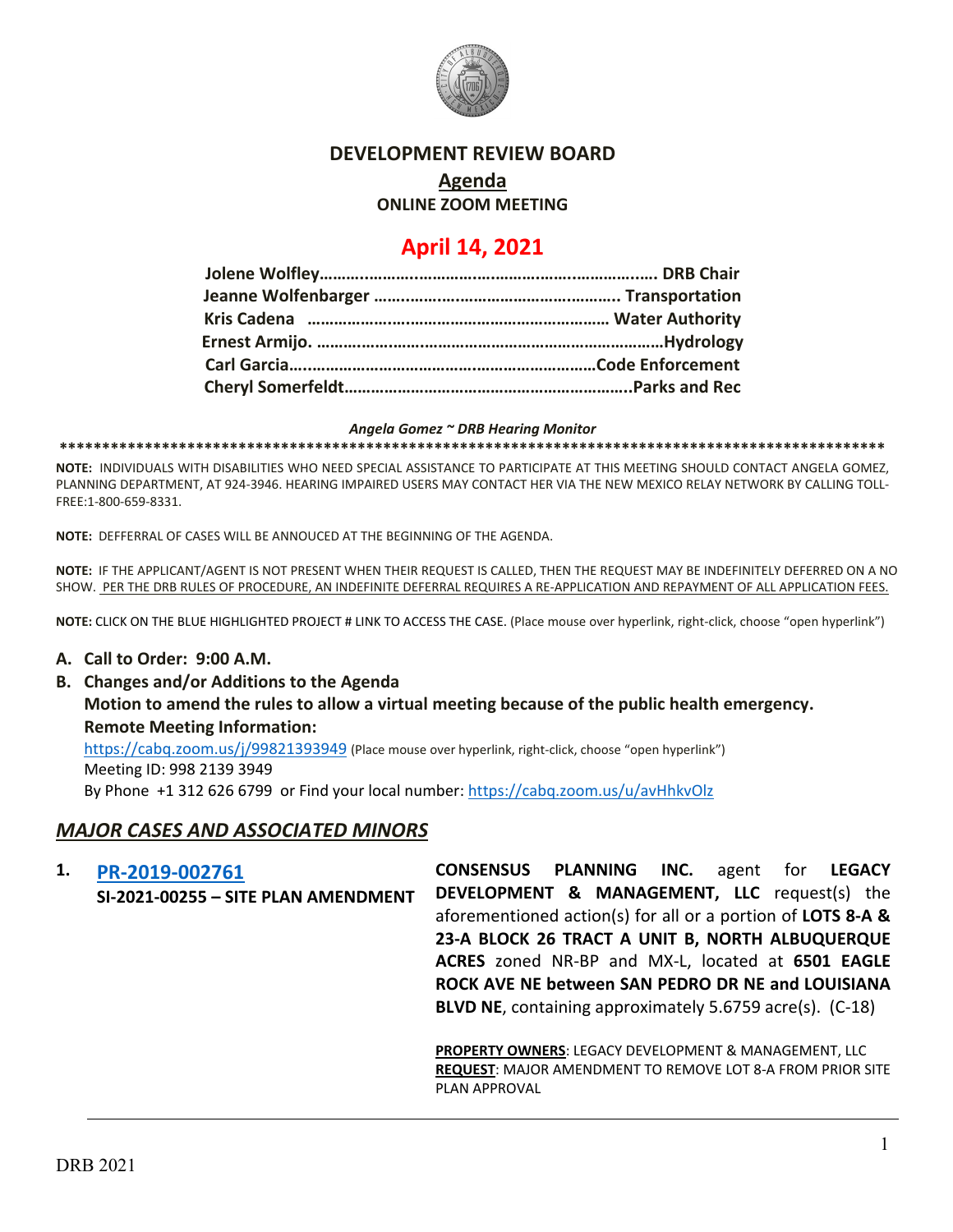

### **DEVELOPMENT REVIEW BOARD**

# **Agenda**

**ONLINE ZOOM MEETING**

# **April 14, 2021**

#### *Angela Gomez ~ DRB Hearing Monitor*

**\*\*\*\*\*\*\*\*\*\*\*\*\*\*\*\*\*\*\*\*\*\*\*\*\*\*\*\*\*\*\*\*\*\*\*\*\*\*\*\*\*\*\*\*\*\*\*\*\*\*\*\*\*\*\*\*\*\*\*\*\*\*\*\*\*\*\*\*\*\*\*\*\*\*\*\*\*\*\*\*\*\*\*\*\*\*\*\*\*\*\*\*\*\*\*\*\***

**NOTE:** INDIVIDUALS WITH DISABILITIES WHO NEED SPECIAL ASSISTANCE TO PARTICIPATE AT THIS MEETING SHOULD CONTACT ANGELA GOMEZ, PLANNING DEPARTMENT, AT 924-3946. HEARING IMPAIRED USERS MAY CONTACT HER VIA THE NEW MEXICO RELAY NETWORK BY CALLING TOLL-FREE:1-800-659-8331.

**NOTE:** DEFFERRAL OF CASES WILL BE ANNOUCED AT THE BEGINNING OF THE AGENDA.

**NOTE:** IF THE APPLICANT/AGENT IS NOT PRESENT WHEN THEIR REQUEST IS CALLED, THEN THE REQUEST MAY BE INDEFINITELY DEFERRED ON A NO SHOW. PER THE DRB RULES OF PROCEDURE, AN INDEFINITE DEFERRAL REQUIRES A RE-APPLICATION AND REPAYMENT OF ALL APPLICATION FEES.

**NOTE:** CLICK ON THE BLUE HIGHLIGHTED PROJECT # LINK TO ACCESS THE CASE. (Place mouse over hyperlink, right-click, choose "open hyperlink")

#### **A. Call to Order: 9:00 A.M.**

**B. Changes and/or Additions to the Agenda Motion to amend the rules to allow a virtual meeting because of the public health emergency. Remote Meeting Information:** 

<https://cabq.zoom.us/j/99821393949> (Place mouse over hyperlink, right-click, choose "open hyperlink")

Meeting ID: 998 2139 3949

By Phone +1 312 626 6799 or Find your local number:<https://cabq.zoom.us/u/avHhkvOlz>

### *MAJOR CASES AND ASSOCIATED MINORS*

**1. [PR-2019-002761](http://data.cabq.gov/government/planning/DRB/PR-2019-002761/DRB%20Submittals/) SI-2021-00255 – SITE PLAN AMENDMENT CONSENSUS PLANNING INC.** agent for **LEGACY DEVELOPMENT & MANAGEMENT, LLC** request(s) the aforementioned action(s) for all or a portion of **LOTS 8-A & 23-A BLOCK 26 TRACT A UNIT B, NORTH ALBUQUERQUE ACRES** zoned NR-BP and MX-L, located at **6501 EAGLE ROCK AVE NE between SAN PEDRO DR NE and LOUISIANA BLVD NE**, containing approximately 5.6759 acre(s). (C-18)

> **PROPERTY OWNERS**: LEGACY DEVELOPMENT & MANAGEMENT, LLC **REQUEST**: MAJOR AMENDMENT TO REMOVE LOT 8-A FROM PRIOR SITE PLAN APPROVAL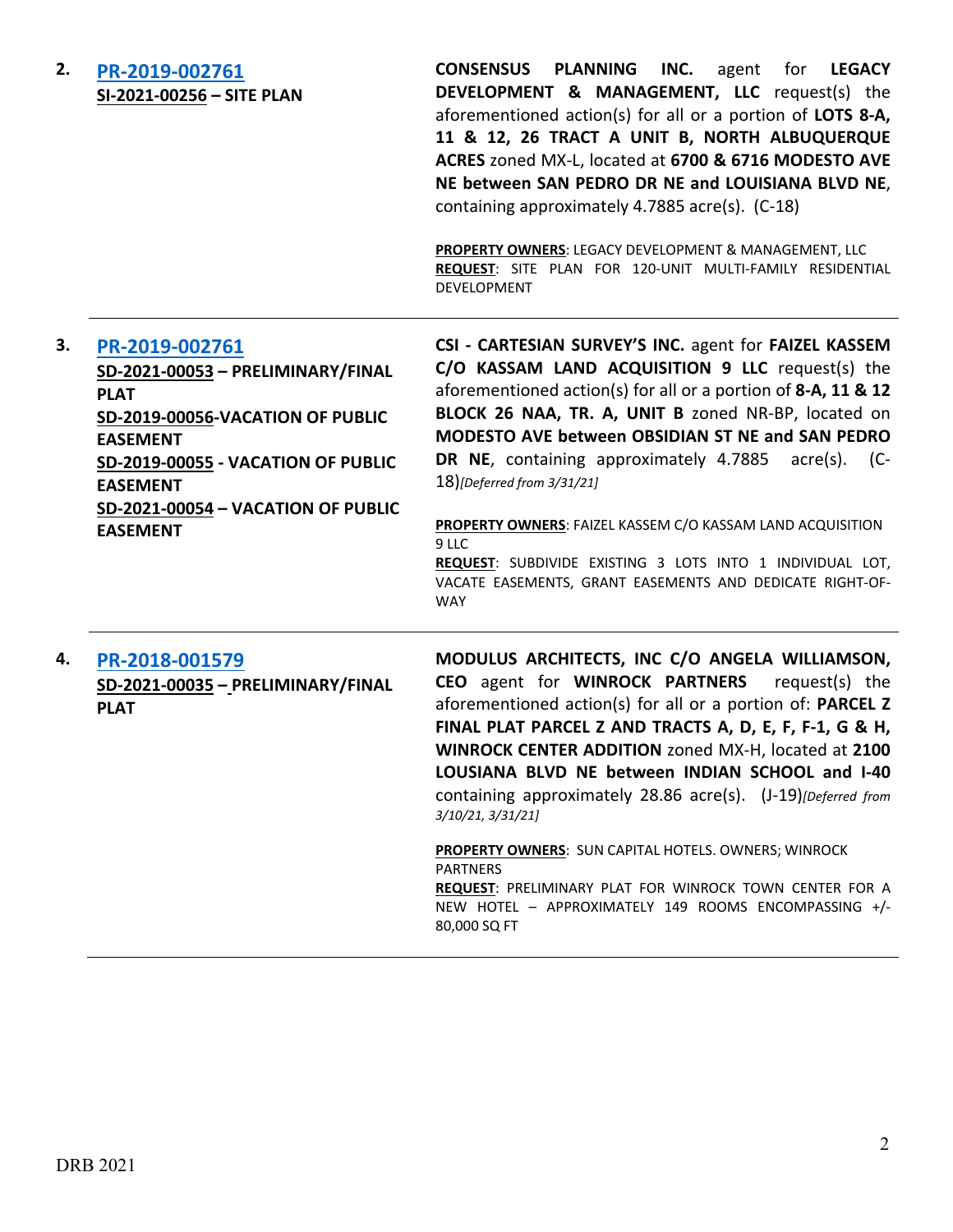| 2. | PR-2019-002761<br>SI-2021-00256 - SITE PLAN                                                                                                                                                                                                 | <b>CONSENSUS PLANNING</b><br>INC. agent<br>for <b>LEGACY</b><br>DEVELOPMENT & MANAGEMENT, LLC request(s) the<br>aforementioned action(s) for all or a portion of LOTS 8-A,<br>11 & 12, 26 TRACT A UNIT B, NORTH ALBUQUERQUE<br>ACRES zoned MX-L, located at 6700 & 6716 MODESTO AVE<br>NE between SAN PEDRO DR NE and LOUISIANA BLVD NE,<br>containing approximately 4.7885 acre(s). (C-18)<br>PROPERTY OWNERS: LEGACY DEVELOPMENT & MANAGEMENT, LLC<br>REQUEST: SITE PLAN FOR 120-UNIT MULTI-FAMILY RESIDENTIAL<br>DEVELOPMENT                                                                                         |
|----|---------------------------------------------------------------------------------------------------------------------------------------------------------------------------------------------------------------------------------------------|-------------------------------------------------------------------------------------------------------------------------------------------------------------------------------------------------------------------------------------------------------------------------------------------------------------------------------------------------------------------------------------------------------------------------------------------------------------------------------------------------------------------------------------------------------------------------------------------------------------------------|
| З. | PR-2019-002761<br>SD-2021-00053 - PRELIMINARY/FINAL<br><b>PLAT</b><br>SD-2019-00056-VACATION OF PUBLIC<br><b>EASEMENT</b><br>SD-2019-00055 - VACATION OF PUBLIC<br><b>EASEMENT</b><br>SD-2021-00054 - VACATION OF PUBLIC<br><b>EASEMENT</b> | CSI - CARTESIAN SURVEY'S INC. agent for FAIZEL KASSEM<br>C/O KASSAM LAND ACQUISITION 9 LLC request(s) the<br>aforementioned action(s) for all or a portion of 8-A, 11 & 12<br>BLOCK 26 NAA, TR. A, UNIT B zoned NR-BP, located on<br>MODESTO AVE between OBSIDIAN ST NE and SAN PEDRO<br>DR NE, containing approximately 4.7885 acre(s). (C-<br>18)[Deferred from 3/31/21]<br>PROPERTY OWNERS: FAIZEL KASSEM C/O KASSAM LAND ACQUISITION<br>9 LLC<br>REQUEST: SUBDIVIDE EXISTING 3 LOTS INTO 1 INDIVIDUAL LOT,<br>VACATE EASEMENTS, GRANT EASEMENTS AND DEDICATE RIGHT-OF-<br><b>WAY</b>                                |
| 4. | PR-2018-001579<br>SD-2021-00035 - PRELIMINARY/FINAL<br><b>PLAT</b>                                                                                                                                                                          | MODULUS ARCHITECTS, INC C/O ANGELA WILLIAMSON,<br>CEO agent for WINROCK PARTNERS<br>request(s) the<br>aforementioned action(s) for all or a portion of: PARCEL Z<br>FINAL PLAT PARCEL Z AND TRACTS A, D, E, F, F-1, G & H,<br>WINROCK CENTER ADDITION zoned MX-H, located at 2100<br>LOUSIANA BLVD NE between INDIAN SCHOOL and I-40<br>containing approximately 28.86 acre(s). (J-19)[Deferred from<br>3/10/21, 3/31/21]<br>PROPERTY OWNERS: SUN CAPITAL HOTELS. OWNERS; WINROCK<br><b>PARTNERS</b><br>REQUEST: PRELIMINARY PLAT FOR WINROCK TOWN CENTER FOR A<br>NEW HOTEL - APPROXIMATELY 149 ROOMS ENCOMPASSING +/- |

80,000 SQ FT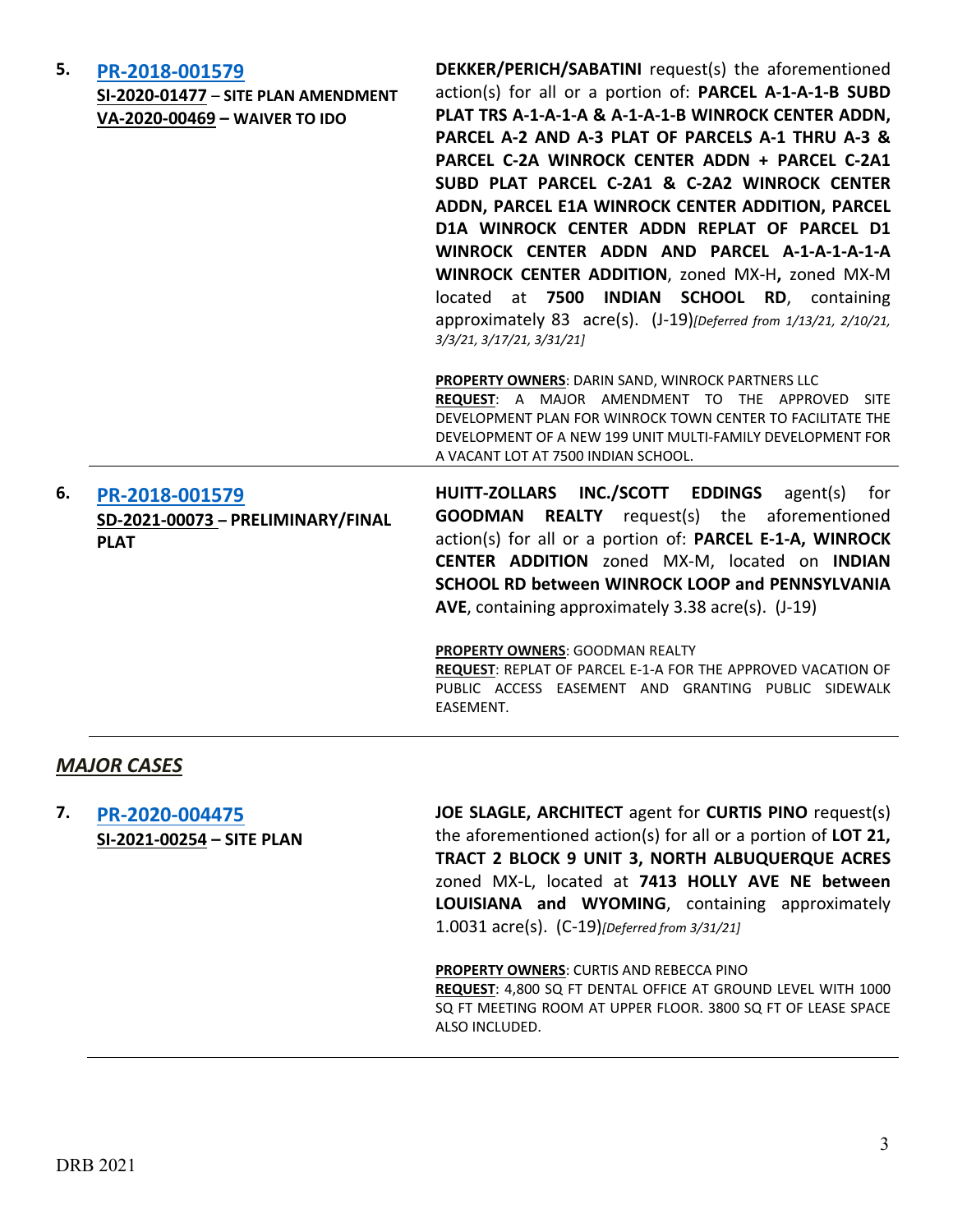| 5. | PR-2018-001579<br>SI-2020-01477 - SITE PLAN AMENDMENT<br>VA-2020-00469 - WAIVER TO IDO | DEKKER/PERICH/SABATINI request(s) the aforementioned<br>action(s) for all or a portion of: PARCEL A-1-A-1-B SUBD<br>PLAT TRS A-1-A-1-A & A-1-A-1-B WINROCK CENTER ADDN,<br>PARCEL A-2 AND A-3 PLAT OF PARCELS A-1 THRU A-3 &<br>PARCEL C-2A WINROCK CENTER ADDN + PARCEL C-2A1<br>SUBD PLAT PARCEL C-2A1 & C-2A2 WINROCK CENTER<br>ADDN, PARCEL E1A WINROCK CENTER ADDITION, PARCEL<br>D1A WINROCK CENTER ADDN REPLAT OF PARCEL D1<br>WINROCK CENTER ADDN AND PARCEL A-1-A-1-A-1-A |
|----|----------------------------------------------------------------------------------------|------------------------------------------------------------------------------------------------------------------------------------------------------------------------------------------------------------------------------------------------------------------------------------------------------------------------------------------------------------------------------------------------------------------------------------------------------------------------------------|
|    |                                                                                        | WINROCK CENTER ADDITION, zoned MX-H, zoned MX-M<br>located at 7500 INDIAN SCHOOL RD, containing<br>approximately 83 acre(s). (J-19) [Deferred from 1/13/21, 2/10/21,<br>3/3/21, 3/17/21, 3/31/21]                                                                                                                                                                                                                                                                                  |
|    |                                                                                        | <b>PROPERTY OWNERS: DARIN SAND, WINROCK PARTNERS LLC</b><br>REQUEST: A MAJOR AMENDMENT TO THE APPROVED<br><b>SITE</b><br>DEVELOPMENT PLAN FOR WINROCK TOWN CENTER TO FACILITATE THE<br>DEVELOPMENT OF A NEW 199 UNIT MULTI-FAMILY DEVELOPMENT FOR<br>A VACANT LOT AT 7500 INDIAN SCHOOL.                                                                                                                                                                                           |
| 6. | PR-2018-001579<br>SD-2021-00073 - PRELIMINARY/FINAL<br><b>PLAT</b>                     | HUITT-ZOLLARS INC./SCOTT EDDINGS<br>$agent(s)$ for<br><b>GOODMAN REALTY</b> request(s) the aforementioned<br>action(s) for all or a portion of: PARCEL E-1-A, WINROCK<br>CENTER ADDITION zoned MX-M, located on INDIAN<br>SCHOOL RD between WINROCK LOOP and PENNSYLVANIA<br>AVE, containing approximately 3.38 acre(s). (J-19)                                                                                                                                                    |
|    |                                                                                        | PROPERTY OWNERS: GOODMAN REALTY<br>REQUEST: REPLAT OF PARCEL E-1-A FOR THE APPROVED VACATION OF<br>PUBLIC ACCESS EASEMENT AND GRANTING PUBLIC SIDEWALK<br>EASEMENT.                                                                                                                                                                                                                                                                                                                |

#### *MAJOR CASES*

**7. [PR-2020-004475](http://data.cabq.gov/government/planning/DRB/PR-2020-004475/DRB%20Submittals/) SI-2021-00254 – SITE PLAN** **JOE SLAGLE, ARCHITECT** agent for **CURTIS PINO** request(s) the aforementioned action(s) for all or a portion of **LOT 21, TRACT 2 BLOCK 9 UNIT 3, NORTH ALBUQUERQUE ACRES**  zoned MX-L, located at **7413 HOLLY AVE NE between LOUISIANA and WYOMING**, containing approximately 1.0031 acre(s). (C-19)*[Deferred from 3/31/21]*

**PROPERTY OWNERS**: CURTIS AND REBECCA PINO

**REQUEST**: 4,800 SQ FT DENTAL OFFICE AT GROUND LEVEL WITH 1000 SQ FT MEETING ROOM AT UPPER FLOOR. 3800 SQ FT OF LEASE SPACE ALSO INCLUDED.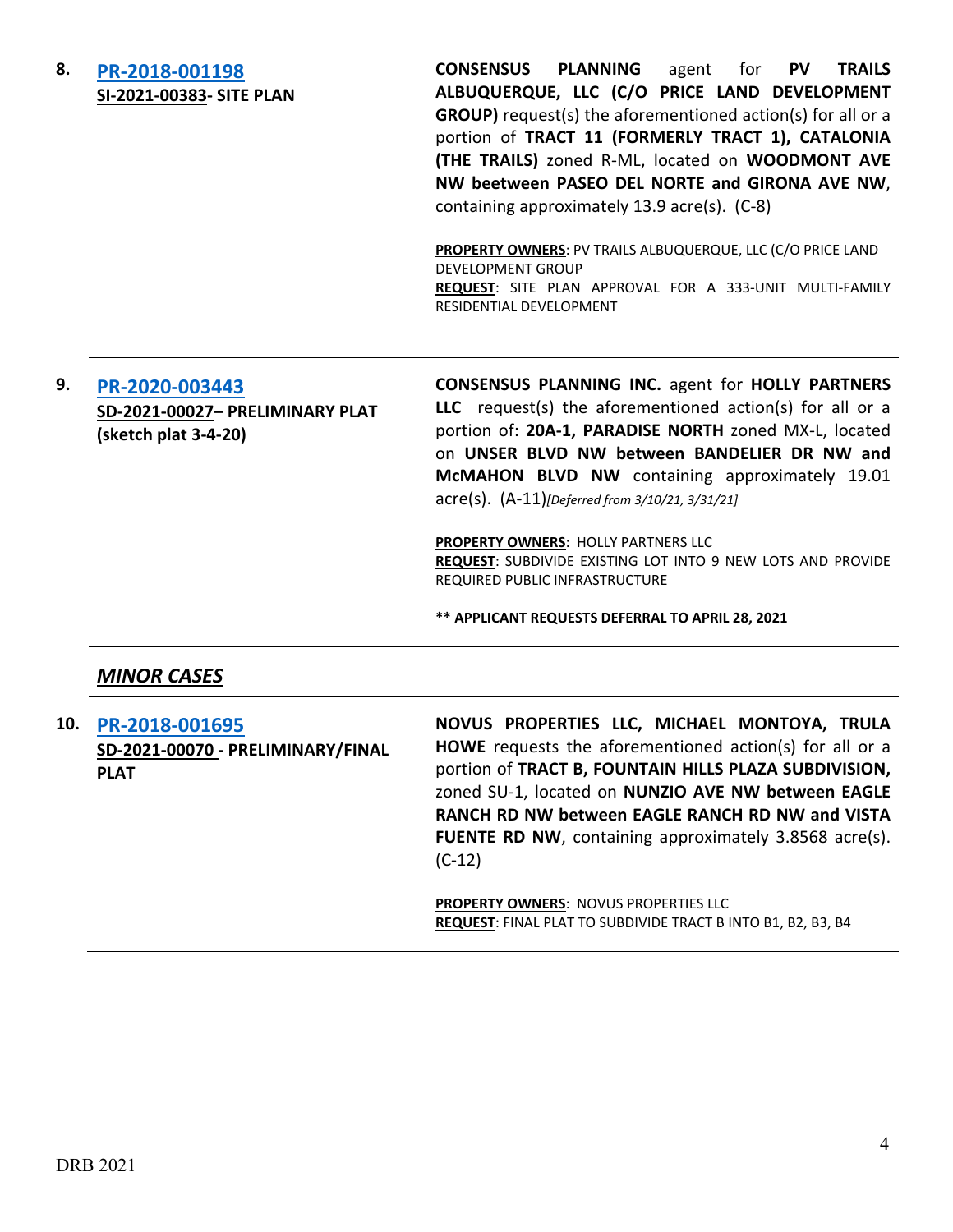| 8.  | PR-2018-001198<br>SI-2021-00383- SITE PLAN                                | <b>PLANNING</b><br><b>CONSENSUS</b><br>for<br><b>PV</b><br><b>TRAILS</b><br>agent<br>ALBUQUERQUE, LLC (C/O PRICE LAND DEVELOPMENT<br><b>GROUP)</b> request(s) the aforementioned action(s) for all or a<br>portion of TRACT 11 (FORMERLY TRACT 1), CATALONIA<br>(THE TRAILS) zoned R-ML, located on WOODMONT AVE<br>NW beetween PASEO DEL NORTE and GIRONA AVE NW,<br>containing approximately 13.9 acre(s). (C-8)<br>PROPERTY OWNERS: PV TRAILS ALBUQUERQUE, LLC (C/O PRICE LAND<br><b>DEVELOPMENT GROUP</b><br>REQUEST: SITE PLAN APPROVAL FOR A 333-UNIT MULTI-FAMILY<br>RESIDENTIAL DEVELOPMENT |
|-----|---------------------------------------------------------------------------|-----------------------------------------------------------------------------------------------------------------------------------------------------------------------------------------------------------------------------------------------------------------------------------------------------------------------------------------------------------------------------------------------------------------------------------------------------------------------------------------------------------------------------------------------------------------------------------------------------|
| 9.  | PR-2020-003443<br>SD-2021-00027- PRELIMINARY PLAT<br>(sketch plat 3-4-20) | <b>CONSENSUS PLANNING INC. agent for HOLLY PARTNERS</b><br>LLC request(s) the aforementioned action(s) for all or a<br>portion of: 20A-1, PARADISE NORTH zoned MX-L, located<br>on UNSER BLVD NW between BANDELIER DR NW and<br>McMAHON BLVD NW containing approximately 19.01<br>$\text{acre}(s)$ . $(A-11)$ [Deferred from 3/10/21, 3/31/21]<br>PROPERTY OWNERS: HOLLY PARTNERS LLC<br>REQUEST: SUBDIVIDE EXISTING LOT INTO 9 NEW LOTS AND PROVIDE<br>REQUIRED PUBLIC INFRASTRUCTURE<br>** APPLICANT REQUESTS DEFERRAL TO APRIL 28, 2021                                                          |
|     | <b>MINOR CASES</b>                                                        |                                                                                                                                                                                                                                                                                                                                                                                                                                                                                                                                                                                                     |
| 10. | PR-2018-001695<br>SD-2021-00070 - PRELIMINARY/FINAL<br><b>PLAT</b>        | NOVUS PROPERTIES LLC, MICHAEL MONTOYA, TRULA<br>HOWE requests the aforementioned action(s) for all or a<br>portion of TRACT B, FOUNTAIN HILLS PLAZA SUBDIVISION,<br>zoned SU-1, located on NUNZIO AVE NW between EAGLE<br>RANCH RD NW between EAGLE RANCH RD NW and VISTA<br>FUENTE RD NW, containing approximately 3.8568 acre(s).<br>$(C-12)$                                                                                                                                                                                                                                                     |

**PROPERTY OWNERS**: NOVUS PROPERTIES LLC **REQUEST**: FINAL PLAT TO SUBDIVIDE TRACT B INTO B1, B2, B3, B4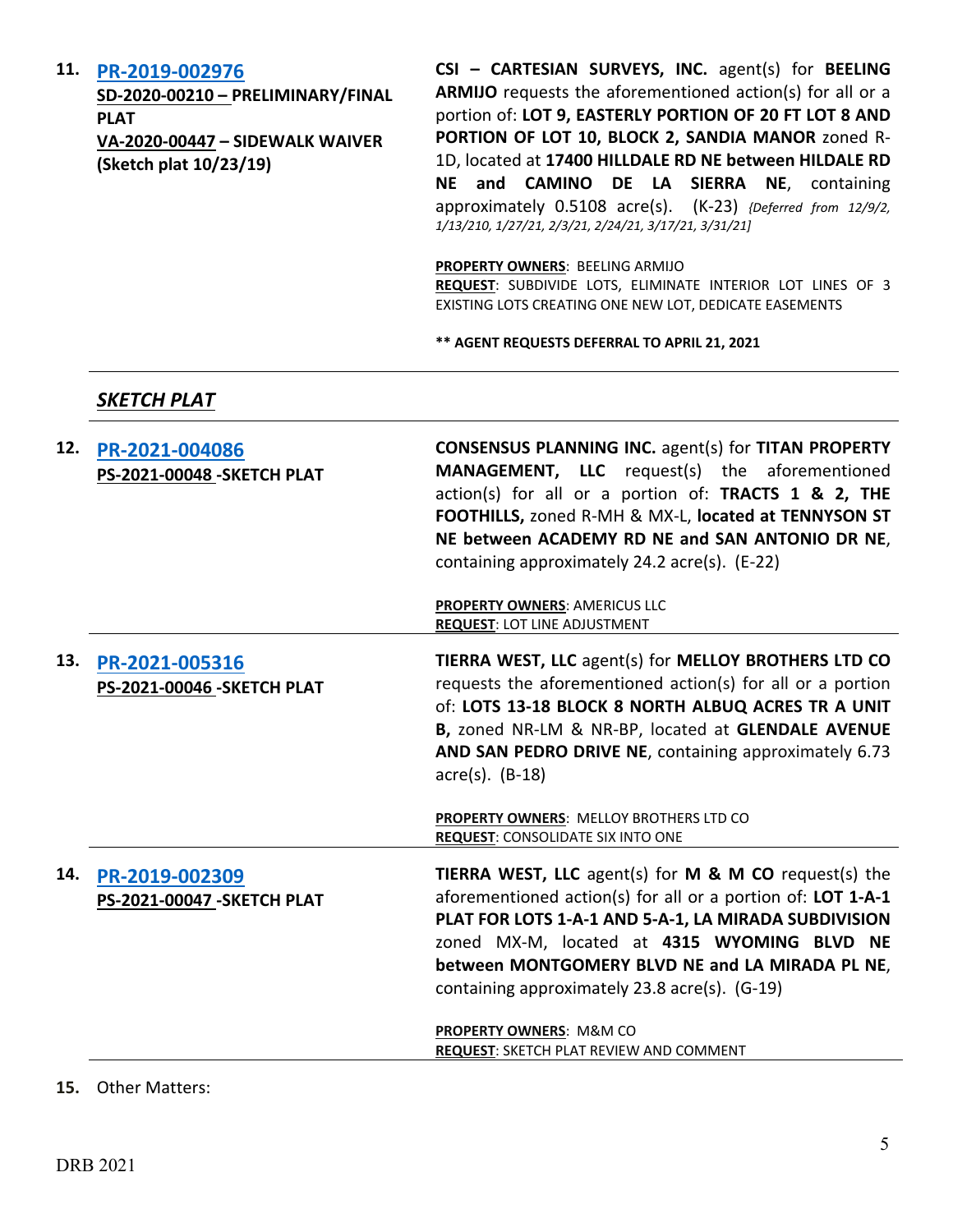#### **11. [PR-2019-002976](http://data.cabq.gov/government/planning/DRB/PR-2019-002976/DRB%20Submittals/)**

**SD-2020-00210 – PRELIMINARY/FINAL PLAT VA-2020-00447 – SIDEWALK WAIVER (Sketch plat 10/23/19)**

**CSI – CARTESIAN SURVEYS, INC.** agent(s) for **BEELING ARMIJO** requests the aforementioned action(s) for all or a portion of: **LOT 9, EASTERLY PORTION OF 20 FT LOT 8 AND PORTION OF LOT 10, BLOCK 2, SANDIA MANOR** zoned R-1D, located at **17400 HILLDALE RD NE between HILDALE RD NE and CAMINO DE LA SIERRA NE**, containing approximately 0.5108 acre(s). (K-23) *{Deferred from 12/9/2, 1/13/210, 1/27/21, 2/3/21, 2/24/21, 3/17/21, 3/31/21]*

**PROPERTY OWNERS**: BEELING ARMIJO

**REQUEST**: SUBDIVIDE LOTS, ELIMINATE INTERIOR LOT LINES OF 3 EXISTING LOTS CREATING ONE NEW LOT, DEDICATE EASEMENTS

**\*\* AGENT REQUESTS DEFERRAL TO APRIL 21, 2021**

#### *SKETCH PLAT*

| 12. | PR-2021-004086<br><b>PS-2021-00048 - SKETCH PLAT</b> | <b>CONSENSUS PLANNING INC. agent(s) for TITAN PROPERTY</b><br><b>MANAGEMENT, LLC</b> request(s) the aforementioned<br>action(s) for all or a portion of: TRACTS 1 & 2, THE<br>FOOTHILLS, zoned R-MH & MX-L, located at TENNYSON ST<br>NE between ACADEMY RD NE and SAN ANTONIO DR NE,<br>containing approximately 24.2 acre(s). (E-22) |
|-----|------------------------------------------------------|----------------------------------------------------------------------------------------------------------------------------------------------------------------------------------------------------------------------------------------------------------------------------------------------------------------------------------------|
|     |                                                      | PROPERTY OWNERS: AMERICUS LLC<br><b>REQUEST: LOT LINE ADJUSTMENT</b>                                                                                                                                                                                                                                                                   |
| 13. | PR-2021-005316<br>PS-2021-00046_SKETCH PLAT          | TIERRA WEST, LLC agent(s) for MELLOY BROTHERS LTD CO<br>requests the aforementioned action(s) for all or a portion<br>of: LOTS 13-18 BLOCK 8 NORTH ALBUQ ACRES TR A UNIT<br>B, zoned NR-LM & NR-BP, located at GLENDALE AVENUE<br>AND SAN PEDRO DRIVE NE, containing approximately 6.73<br>$\arccos(5)$ . (B-18)                       |
|     |                                                      | PROPERTY OWNERS: MELLOY BROTHERS LTD CO<br><b>REQUEST: CONSOLIDATE SIX INTO ONE</b>                                                                                                                                                                                                                                                    |
| 14. | PR-2019-002309<br>PS-2021-00047 - SKETCH PLAT        | TIERRA WEST, LLC agent(s) for M & M CO request(s) the<br>aforementioned action(s) for all or a portion of: LOT 1-A-1<br>PLAT FOR LOTS 1-A-1 AND 5-A-1, LA MIRADA SUBDIVISION<br>zoned MX-M, located at 4315 WYOMING BLVD NE<br>between MONTGOMERY BLVD NE and LA MIRADA PL NE,<br>containing approximately 23.8 acre(s). (G-19)        |
|     |                                                      | PROPERTY OWNERS: M&M CO<br><b>REQUEST: SKETCH PLAT REVIEW AND COMMENT</b>                                                                                                                                                                                                                                                              |

#### **15.** Other Matters: